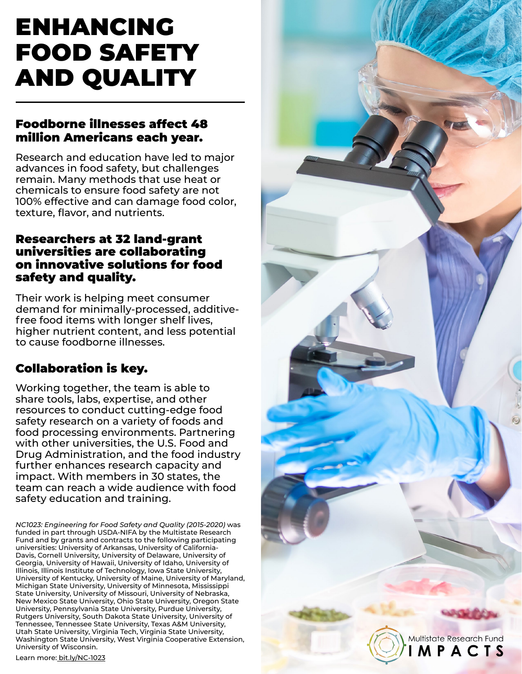# ENHANCING FOOD SAFETY AND QUALITY

# Foodborne illnesses affect 48 million Americans each year.

Research and education have led to major advances in food safety, but challenges remain. Many methods that use heat or chemicals to ensure food safety are not 100% effective and can damage food color, texture, flavor, and nutrients.

# Researchers at 32 land-grant universities are collaborating on innovative solutions for food safety and quality.

Their work is helping meet consumer demand for minimally-processed, additivefree food items with longer shelf lives, higher nutrient content, and less potential to cause foodborne illnesses.

# Collaboration is key.

Working together, the team is able to share tools, labs, expertise, and other resources to conduct cutting-edge food safety research on a variety of foods and food processing environments. Partnering with other universities, the U.S. Food and Drug Administration, and the food industry further enhances research capacity and impact. With members in 30 states, the team can reach a wide audience with food safety education and training.

*NC1023: Engineering for Food Safety and Quality (2015-2020)* was funded in part through USDA-NIFA by the Multistate Research Fund and by grants and contracts to the following participating universities: University of Arkansas, University of California-Davis, Cornell University, University of Delaware, University of Georgia, University of Hawaii, University of Idaho, University of Illinois, Illinois Institute of Technology, Iowa State University, University of Kentucky, University of Maine, University of Maryland, Michigan State University, University of Minnesota, Mississippi State University, University of Missouri, University of Nebraska, New Mexico State University, Ohio State University, Oregon State University, Pennsylvania State University, Purdue University, Rutgers University, South Dakota State University, University of Tennessee, Tennessee State University, Texas A&M University, Utah State University, Virginia Tech, Virginia State University, Washington State University, West Virginia Cooperative Extension, University of Wisconsin.

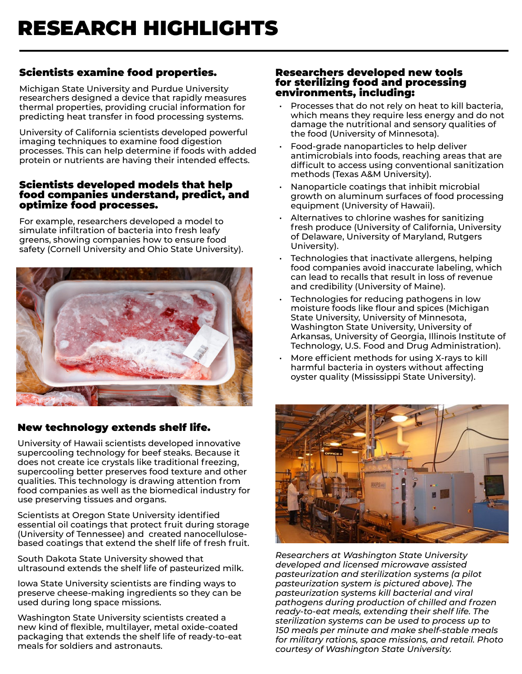# Scientists examine food properties.

Michigan State University and Purdue University researchers designed a device that rapidly measures thermal properties, providing crucial information for predicting heat transfer in food processing systems.

University of California scientists developed powerful imaging techniques to examine food digestion processes. This can help determine if foods with added protein or nutrients are having their intended effects.

#### Scientists developed models that help food companies understand, predict, and optimize food processes.

For example, researchers developed a model to simulate infiltration of bacteria into fresh leafy greens, showing companies how to ensure food safety (Cornell University and Ohio State University).



## New technology extends shelf life.

University of Hawaii scientists developed innovative supercooling technology for beef steaks. Because it does not create ice crystals like traditional freezing, supercooling better preserves food texture and other qualities. This technology is drawing attention from food companies as well as the biomedical industry for use preserving tissues and organs.

Scientists at Oregon State University identified essential oil coatings that protect fruit during storage (University of Tennessee) and created nanocellulosebased coatings that extend the shelf life of fresh fruit.

South Dakota State University showed that ultrasound extends the shelf life of pasteurized milk.

Iowa State University scientists are finding ways to preserve cheese-making ingredients so they can be used during long space missions.

Washington State University scientists created a new kind of flexible, multilayer, metal oxide-coated packaging that extends the shelf life of ready-to-eat meals for soldiers and astronauts.

#### Researchers developed new tools for sterilizing food and processing environments, including:

- Processes that do not rely on heat to kill bacteria, which means they require less energy and do not damage the nutritional and sensory qualities of the food (University of Minnesota).
- Food-grade nanoparticles to help deliver antimicrobials into foods, reaching areas that are difficult to access using conventional sanitization methods (Texas A&M University).
- Nanoparticle coatings that inhibit microbial growth on aluminum surfaces of food processing equipment (University of Hawaii).
- Alternatives to chlorine washes for sanitizing fresh produce (University of California, University of Delaware, University of Maryland, Rutgers University).
- Technologies that inactivate allergens, helping food companies avoid inaccurate labeling, which can lead to recalls that result in loss of revenue and credibility (University of Maine).
- Technologies for reducing pathogens in low moisture foods like flour and spices (Michigan State University, University of Minnesota, Washington State University, University of Arkansas, University of Georgia, Illinois Institute of Technology, U.S. Food and Drug Administration).
- More efficient methods for using X-rays to kill harmful bacteria in oysters without affecting oyster quality (Mississippi State University).



*Researchers at Washington State University developed and licensed microwave assisted pasteurization and sterilization systems (a pilot pasteurization system is pictured above). The pasteurization systems kill bacterial and viral pathogens during production of chilled and frozen ready-to-eat meals, extending their shelf life. The sterilization systems can be used to process up to 150 meals per minute and make shelf-stable meals for military rations, space missions, and retail. Photo courtesy of Washington State University.*